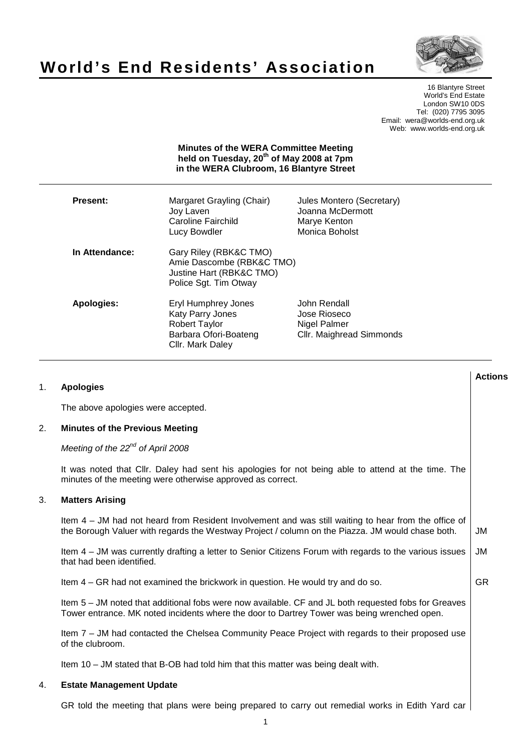



16 Blantyre Street World's End Estate London SW10 0DS Tel: (020) 7795 3095 Email: wera@worlds-end.org.uk Web: www.worlds-end.org.uk

## **Minutes of the WERA Committee Meeting held on Tuesday, 20th of May 2008 at 7pm in the WERA Clubroom, 16 Blantyre Street**

| Present:       | Margaret Grayling (Chair)<br>Joy Laven<br>Caroline Fairchild<br>Lucy Bowdler                                        | Jules Montero (Secretary)<br>Joanna McDermott<br>Marye Kenton<br>Monica Boholst |
|----------------|---------------------------------------------------------------------------------------------------------------------|---------------------------------------------------------------------------------|
| In Attendance: | Gary Riley (RBK&C TMO)<br>Amie Dascombe (RBK&C TMO)<br>Justine Hart (RBK&C TMO)<br>Police Sgt. Tim Otway            |                                                                                 |
| Apologies:     | Eryl Humphrey Jones<br><b>Katy Parry Jones</b><br><b>Robert Taylor</b><br>Barbara Ofori-Boateng<br>Cllr. Mark Daley | John Rendall<br>Jose Rioseco<br>Nigel Palmer<br>Cllr. Maighread Simmonds        |

|    |                                                                                                                                                                                                            | <b>Actions</b> |
|----|------------------------------------------------------------------------------------------------------------------------------------------------------------------------------------------------------------|----------------|
| 1. | <b>Apologies</b>                                                                                                                                                                                           |                |
|    | The above apologies were accepted.                                                                                                                                                                         |                |
| 2. | <b>Minutes of the Previous Meeting</b>                                                                                                                                                                     |                |
|    | Meeting of the $22^{nd}$ of April 2008                                                                                                                                                                     |                |
|    | It was noted that Cllr. Daley had sent his apologies for not being able to attend at the time. The<br>minutes of the meeting were otherwise approved as correct.                                           |                |
| 3. | <b>Matters Arising</b>                                                                                                                                                                                     |                |
|    | Item $4 - JM$ had not heard from Resident Involvement and was still waiting to hear from the office of<br>the Borough Valuer with regards the Westway Project / column on the Piazza. JM would chase both. | JM             |
|    | Item 4 – JM was currently drafting a letter to Senior Citizens Forum with regards to the various issues<br>that had been identified.                                                                       | <b>JM</b>      |
|    | Item 4 – GR had not examined the brickwork in question. He would try and do so.                                                                                                                            | <b>GR</b>      |
|    | Item 5 – JM noted that additional fobs were now available. CF and JL both requested fobs for Greaves<br>Tower entrance. MK noted incidents where the door to Dartrey Tower was being wrenched open.        |                |
|    | Item 7 - JM had contacted the Chelsea Community Peace Project with regards to their proposed use<br>of the clubroom.                                                                                       |                |
|    | Item 10 - JM stated that B-OB had told him that this matter was being dealt with.                                                                                                                          |                |
| 4. | <b>Estate Management Update</b>                                                                                                                                                                            |                |

GR told the meeting that plans were being prepared to carry out remedial works in Edith Yard car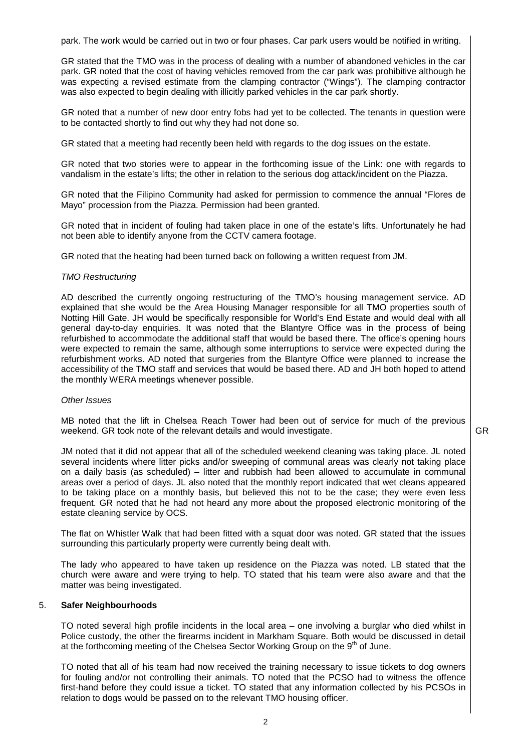park. The work would be carried out in two or four phases. Car park users would be notified in writing.

GR stated that the TMO was in the process of dealing with a number of abandoned vehicles in the car park. GR noted that the cost of having vehicles removed from the car park was prohibitive although he was expecting a revised estimate from the clamping contractor ("Wings"). The clamping contractor was also expected to begin dealing with illicitly parked vehicles in the car park shortly.

GR noted that a number of new door entry fobs had yet to be collected. The tenants in question were to be contacted shortly to find out why they had not done so.

GR stated that a meeting had recently been held with regards to the dog issues on the estate.

GR noted that two stories were to appear in the forthcoming issue of the Link: one with regards to vandalism in the estate's lifts; the other in relation to the serious dog attack/incident on the Piazza.

GR noted that the Filipino Community had asked for permission to commence the annual "Flores de Mayo" procession from the Piazza. Permission had been granted.

GR noted that in incident of fouling had taken place in one of the estate's lifts. Unfortunately he had not been able to identify anyone from the CCTV camera footage.

GR noted that the heating had been turned back on following a written request from JM.

#### TMO Restructuring

AD described the currently ongoing restructuring of the TMO's housing management service. AD explained that she would be the Area Housing Manager responsible for all TMO properties south of Notting Hill Gate. JH would be specifically responsible for World's End Estate and would deal with all general day-to-day enquiries. It was noted that the Blantyre Office was in the process of being refurbished to accommodate the additional staff that would be based there. The office's opening hours were expected to remain the same, although some interruptions to service were expected during the refurbishment works. AD noted that surgeries from the Blantyre Office were planned to increase the accessibility of the TMO staff and services that would be based there. AD and JH both hoped to attend the monthly WERA meetings whenever possible.

#### Other Issues

MB noted that the lift in Chelsea Reach Tower had been out of service for much of the previous weekend. GR took note of the relevant details and would investigate.

GR

JM noted that it did not appear that all of the scheduled weekend cleaning was taking place. JL noted several incidents where litter picks and/or sweeping of communal areas was clearly not taking place on a daily basis (as scheduled) – litter and rubbish had been allowed to accumulate in communal areas over a period of days. JL also noted that the monthly report indicated that wet cleans appeared to be taking place on a monthly basis, but believed this not to be the case; they were even less frequent. GR noted that he had not heard any more about the proposed electronic monitoring of the estate cleaning service by OCS.

The flat on Whistler Walk that had been fitted with a squat door was noted. GR stated that the issues surrounding this particularly property were currently being dealt with.

The lady who appeared to have taken up residence on the Piazza was noted. LB stated that the church were aware and were trying to help. TO stated that his team were also aware and that the matter was being investigated.

#### 5. **Safer Neighbourhoods**

TO noted several high profile incidents in the local area – one involving a burglar who died whilst in Police custody, the other the firearms incident in Markham Square. Both would be discussed in detail at the forthcoming meeting of the Chelsea Sector Working Group on the 9<sup>th</sup> of June.

TO noted that all of his team had now received the training necessary to issue tickets to dog owners for fouling and/or not controlling their animals. TO noted that the PCSO had to witness the offence first-hand before they could issue a ticket. TO stated that any information collected by his PCSOs in relation to dogs would be passed on to the relevant TMO housing officer.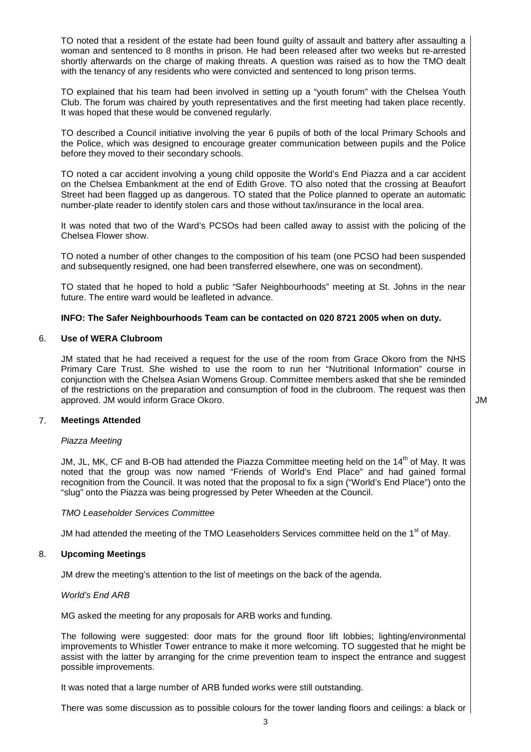TO noted that a resident of the estate had been found guilty of assault and battery after assaulting a woman and sentenced to 8 months in prison. He had been released after two weeks but re-arrested shortly afterwards on the charge of making threats. A question was raised as to how the TMO dealt with the tenancy of any residents who were convicted and sentenced to long prison terms.

TO explained that his team had been involved in setting up a "youth forum" with the Chelsea Youth Club. The forum was chaired by youth representatives and the first meeting had taken place recently. It was hoped that these would be convened regularly.

TO described a Council initiative involving the year 6 pupils of both of the local Primary Schools and the Police, which was designed to encourage greater communication between pupils and the Police before they moved to their secondary schools.

TO noted a car accident involving a young child opposite the World's End Piazza and a car accident on the Chelsea Embankment at the end of Edith Grove. TO also noted that the crossing at Beaufort Street had been flagged up as dangerous. TO stated that the Police planned to operate an automatic number-plate reader to identify stolen cars and those without tax/insurance in the local area.

It was noted that two of the Ward's PCSOs had been called away to assist with the policing of the Chelsea Flower show.

TO noted a number of other changes to the composition of his team (one PCSO had been suspended and subsequently resigned, one had been transferred elsewhere, one was on secondment).

TO stated that he hoped to hold a public "Safer Neighbourhoods" meeting at St. Johns in the near future. The entire ward would be leafleted in advance.

# **INFO: The Safer Neighbourhoods Team can be contacted on 020 8721 2005 when on duty.**

## 6. **Use of WERA Clubroom**

JM stated that he had received a request for the use of the room from Grace Okoro from the NHS Primary Care Trust. She wished to use the room to run her "Nutritional Information" course in conjunction with the Chelsea Asian Womens Group. Committee members asked that she be reminded of the restrictions on the preparation and consumption of food in the clubroom. The request was then approved. JM would inform Grace Okoro.  $\blacksquare$ 

## 7. **Meetings Attended**

## Piazza Meeting

JM, JL, MK, CF and B-OB had attended the Piazza Committee meeting held on the 14<sup>th</sup> of May. It was noted that the group was now named "Friends of World's End Place" and had gained formal recognition from the Council. It was noted that the proposal to fix a sign ("World's End Place") onto the "slug" onto the Piazza was being progressed by Peter Wheeden at the Council.

## TMO Leaseholder Services Committee

JM had attended the meeting of the TMO Leaseholders Services committee held on the 1<sup>st</sup> of May.

# 8. **Upcoming Meetings**

JM drew the meeting's attention to the list of meetings on the back of the agenda.

## World's End ARB

MG asked the meeting for any proposals for ARB works and funding.

The following were suggested: door mats for the ground floor lift lobbies; lighting/environmental improvements to Whistler Tower entrance to make it more welcoming. TO suggested that he might be assist with the latter by arranging for the crime prevention team to inspect the entrance and suggest possible improvements.

It was noted that a large number of ARB funded works were still outstanding.

There was some discussion as to possible colours for the tower landing floors and ceilings: a black or